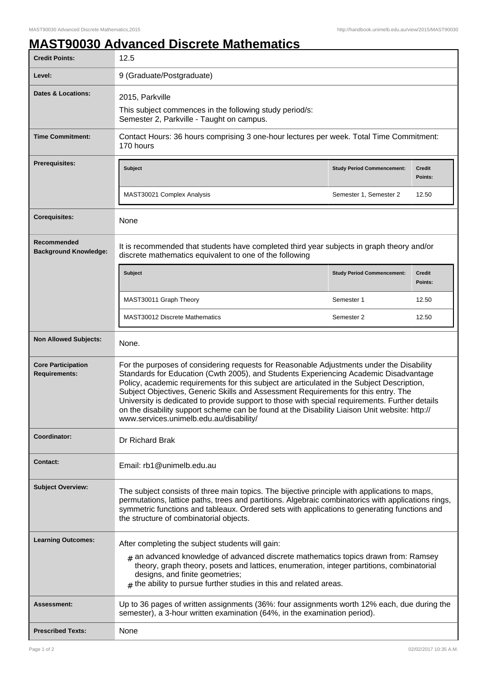## **MAST90030 Advanced Discrete Mathematics**

| <b>Credit Points:</b>                             | 12.5                                                                                                                                                                                                                                                                                                                                                                                                                                                                                                                                                                                                               |                                   |                          |
|---------------------------------------------------|--------------------------------------------------------------------------------------------------------------------------------------------------------------------------------------------------------------------------------------------------------------------------------------------------------------------------------------------------------------------------------------------------------------------------------------------------------------------------------------------------------------------------------------------------------------------------------------------------------------------|-----------------------------------|--------------------------|
| Level:                                            | 9 (Graduate/Postgraduate)                                                                                                                                                                                                                                                                                                                                                                                                                                                                                                                                                                                          |                                   |                          |
| <b>Dates &amp; Locations:</b>                     | 2015, Parkville<br>This subject commences in the following study period/s:<br>Semester 2, Parkville - Taught on campus.                                                                                                                                                                                                                                                                                                                                                                                                                                                                                            |                                   |                          |
| <b>Time Commitment:</b>                           | Contact Hours: 36 hours comprising 3 one-hour lectures per week. Total Time Commitment:<br>170 hours                                                                                                                                                                                                                                                                                                                                                                                                                                                                                                               |                                   |                          |
| Prerequisites:                                    | <b>Subject</b>                                                                                                                                                                                                                                                                                                                                                                                                                                                                                                                                                                                                     | <b>Study Period Commencement:</b> | <b>Credit</b><br>Points: |
|                                                   | MAST30021 Complex Analysis                                                                                                                                                                                                                                                                                                                                                                                                                                                                                                                                                                                         | Semester 1, Semester 2            | 12.50                    |
| <b>Corequisites:</b>                              | None                                                                                                                                                                                                                                                                                                                                                                                                                                                                                                                                                                                                               |                                   |                          |
| Recommended<br><b>Background Knowledge:</b>       | It is recommended that students have completed third year subjects in graph theory and/or<br>discrete mathematics equivalent to one of the following                                                                                                                                                                                                                                                                                                                                                                                                                                                               |                                   |                          |
|                                                   | Subject                                                                                                                                                                                                                                                                                                                                                                                                                                                                                                                                                                                                            | <b>Study Period Commencement:</b> | <b>Credit</b><br>Points: |
|                                                   | MAST30011 Graph Theory                                                                                                                                                                                                                                                                                                                                                                                                                                                                                                                                                                                             | Semester 1                        | 12.50                    |
|                                                   | MAST30012 Discrete Mathematics                                                                                                                                                                                                                                                                                                                                                                                                                                                                                                                                                                                     | Semester 2                        | 12.50                    |
| <b>Non Allowed Subjects:</b>                      | None.                                                                                                                                                                                                                                                                                                                                                                                                                                                                                                                                                                                                              |                                   |                          |
| <b>Core Participation</b><br><b>Requirements:</b> | For the purposes of considering requests for Reasonable Adjustments under the Disability<br>Standards for Education (Cwth 2005), and Students Experiencing Academic Disadvantage<br>Policy, academic requirements for this subject are articulated in the Subject Description,<br>Subject Objectives, Generic Skills and Assessment Requirements for this entry. The<br>University is dedicated to provide support to those with special requirements. Further details<br>on the disability support scheme can be found at the Disability Liaison Unit website: http://<br>www.services.unimelb.edu.au/disability/ |                                   |                          |
| Coordinator:                                      | Dr Richard Brak                                                                                                                                                                                                                                                                                                                                                                                                                                                                                                                                                                                                    |                                   |                          |
| <b>Contact:</b>                                   | Email: rb1@unimelb.edu.au                                                                                                                                                                                                                                                                                                                                                                                                                                                                                                                                                                                          |                                   |                          |
| <b>Subject Overview:</b>                          | The subject consists of three main topics. The bijective principle with applications to maps,<br>permutations, lattice paths, trees and partitions. Algebraic combinatorics with applications rings,<br>symmetric functions and tableaux. Ordered sets with applications to generating functions and<br>the structure of combinatorial objects.                                                                                                                                                                                                                                                                    |                                   |                          |
| <b>Learning Outcomes:</b>                         | After completing the subject students will gain:                                                                                                                                                                                                                                                                                                                                                                                                                                                                                                                                                                   |                                   |                          |
|                                                   | $_{\#}$ an advanced knowledge of advanced discrete mathematics topics drawn from: Ramsey<br>theory, graph theory, posets and lattices, enumeration, integer partitions, combinatorial<br>designs, and finite geometries;<br>$#$ the ability to pursue further studies in this and related areas.                                                                                                                                                                                                                                                                                                                   |                                   |                          |
| <b>Assessment:</b>                                | Up to 36 pages of written assignments (36%: four assignments worth 12% each, due during the<br>semester), a 3-hour written examination (64%, in the examination period).                                                                                                                                                                                                                                                                                                                                                                                                                                           |                                   |                          |
| <b>Prescribed Texts:</b>                          | None                                                                                                                                                                                                                                                                                                                                                                                                                                                                                                                                                                                                               |                                   |                          |